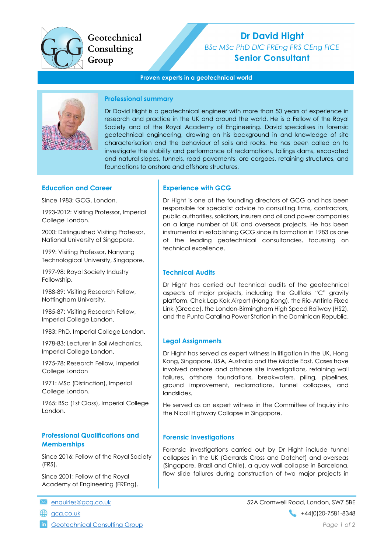

# Geotechnical Consulting

# Dr David Hight BSc MSc PhD DIC FREng FRS CEng FICE Senior Consultant

#### Proven experts in a geotechnical world



#### Professional summary

Dr David Hight is a geotechnical engineer with more than 50 years of experience in research and practice in the UK and around the world. He is a Fellow of the Royal Society and of the Royal Academy of Engineering. David specialises in forensic geotechnical engineering, drawing on his background in and knowledge of site characterisation and the behaviour of soils and rocks. He has been called on to investigate the stability and performance of reclamations, tailings dams, excavated and natural slopes, tunnels, road pavements, ore cargoes, retaining structures, and foundations to onshore and offshore structures.

#### Education and Career

Since 1983: GCG, London.

1993-2012: Visiting Professor, Imperial College London.

2000: Distinguished Visiting Professor, National University of Singapore.

1999: Visiting Professor, Nanyang Technological University, Singapore.

1997-98: Royal Society Industry Fellowship.

1988-89: Visiting Research Fellow, Nottingham University.

1985-87: Visiting Research Fellow, Imperial College London.

1983: PhD, Imperial College London.

1978-83: Lecturer in Soil Mechanics, Imperial College London.

1975-78: Research Fellow, Imperial College London

1971: MSc (Distinction), Imperial College London.

1965: BSc (1st Class), Imperial College London.

# Professional Qualifications and **Memberships**

Since 2016: Fellow of the Royal Society (FRS).

Since 2001: Fellow of the Royal Academy of Engineering (FREng).

**in** Geotechnical Consulting Group **Page 1 of 2** and 2 and 2 and 2 and 2 and 2 and 2 and 2 and 2 and 2 and 2 and 2 and 2 and 2 and 2 and 2 and 2 and 2 and 2 and 2 and 2 and 2 and 2 and 2 and 2 and 2 and 2 and 2 and 2 and 2

#### Experience with GCG

Dr Hight is one of the founding directors of GCG and has been responsible for specialist advice to consulting firms, contractors, public authorities, solicitors, insurers and oil and power companies on a large number of UK and overseas projects. He has been instrumental in establishing GCG since its formation in 1983 as one of the leading geotechnical consultancies, focussing on technical excellence.

## Technical Audits

Dr Hight has carried out technical audits of the geotechnical aspects of major projects, including the Gullfaks "C" gravity platform, Chek Lap Kok Airport (Hong Kong), the Rio-Antirrio Fixed Link (Greece), the London-Birmingham High Speed Railway (HS2), and the Punta Catalina Power Station in the Dominican Republic.

#### Legal Assignments

Dr Hight has served as expert witness in litigation in the UK, Hong Kong, Singapore, USA, Australia and the Middle East. Cases have involved onshore and offshore site investigations, retaining wall failures, offshore foundations, breakwaters, piling, pipelines, ground improvement, reclamations, tunnel collapses, and landslides.

He served as an expert witness in the Committee of Inquiry into the Nicoll Highway Collapse in Singapore.

#### Forensic Investigations

Forensic investigations carried out by Dr Hight include tunnel collapses in the UK (Gerrards Cross and Datchet) and overseas (Singapore, Brazil and Chile), a quay wall collapse in Barcelona, flow slide failures during construction of two major projects in